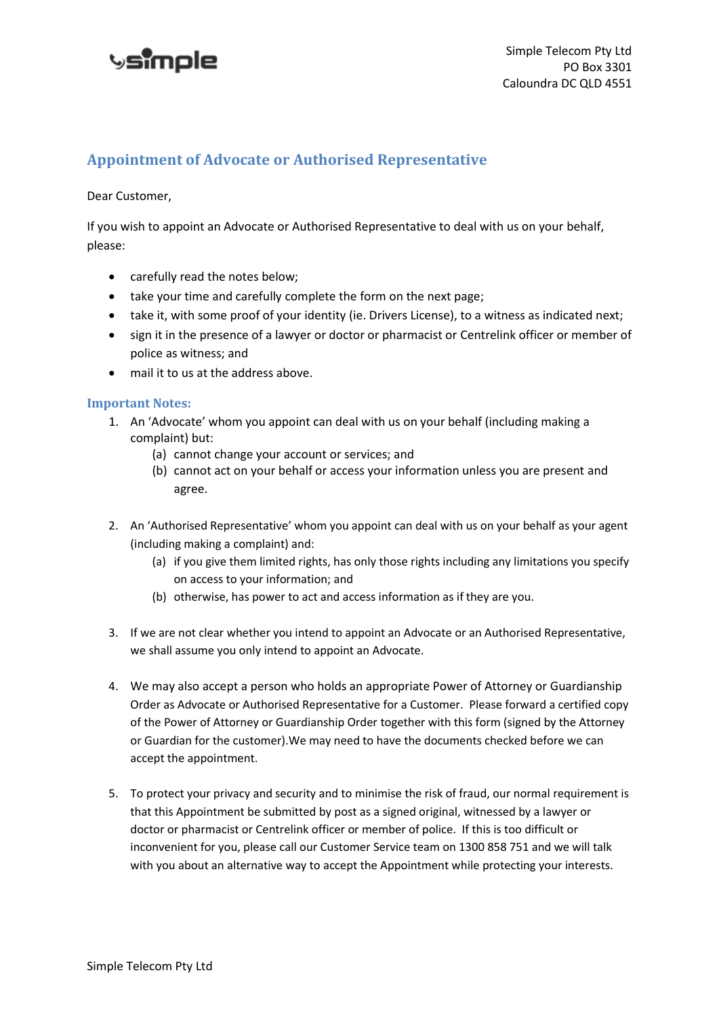## **vsimole**

## **Appointment of Advocate or Authorised Representative**

Dear Customer,

If you wish to appoint an Advocate or Authorised Representative to deal with us on your behalf, please:

- carefully read the notes below;
- take your time and carefully complete the form on the next page;
- take it, with some proof of your identity (ie. Drivers License), to a witness as indicated next;
- sign it in the presence of a lawyer or doctor or pharmacist or Centrelink officer or member of police as witness; and
- mail it to us at the address above.

## **Important Notes:**

- 1. An 'Advocate' whom you appoint can deal with us on your behalf (including making a complaint) but:
	- (a) cannot change your account or services; and
	- (b) cannot act on your behalf or access your information unless you are present and agree.
- 2. An 'Authorised Representative' whom you appoint can deal with us on your behalf as your agent (including making a complaint) and:
	- (a) if you give them limited rights, has only those rights including any limitations you specify on access to your information; and
	- (b) otherwise, has power to act and access information as if they are you.
- 3. If we are not clear whether you intend to appoint an Advocate or an Authorised Representative, we shall assume you only intend to appoint an Advocate.
- 4. We may also accept a person who holds an appropriate Power of Attorney or Guardianship Order as Advocate or Authorised Representative for a Customer. Please forward a certified copy of the Power of Attorney or Guardianship Order together with this form (signed by the Attorney or Guardian for the customer).We may need to have the documents checked before we can accept the appointment.
- 5. To protect your privacy and security and to minimise the risk of fraud, our normal requirement is that this Appointment be submitted by post as a signed original, witnessed by a lawyer or doctor or pharmacist or Centrelink officer or member of police. If this is too difficult or inconvenient for you, please call our Customer Service team on 1300 858 751 and we will talk with you about an alternative way to accept the Appointment while protecting your interests.